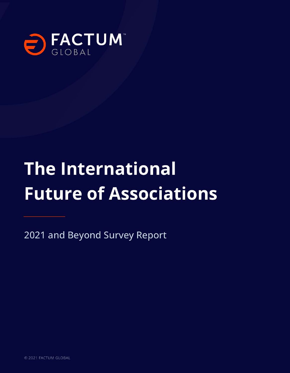

# **The International Future of Associations**

2021 and Beyond Survey Report

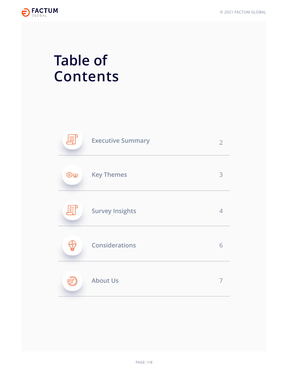

# **Table of Contents**

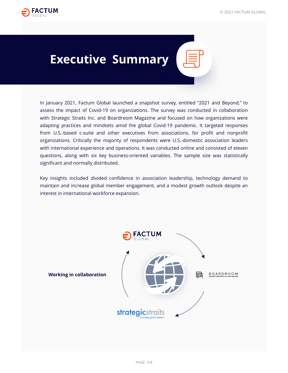<span id="page-2-0"></span>

### **Executive Summary**

In January 2021, Factum Global launched a snapshot survey, entitled "2021 and Beyond," to assess the impact of Covid-19 on organizations. The survey was conducted in collaboration with Strategic Straits Inc. and Boardroom Magazine and focused on how organizations were adapting practices and mindsets amid the global Covid-19 pandemic. It targeted responses from U.S.-based c-suite and other executives from associations, for profit and nonprofit organizations. Critically the majority of respondents were U.S.-domestic association leaders with international experience and operations. It was conducted online and consisted of eleven questions, along with six key business-oriented variables. The sample size was statistically significant and normally distributed.

Key insights included divided confidence in association leadership, technology demand to maintain and increase global member engagement, and a modest growth outlook despite an interest in international workforce expansion.

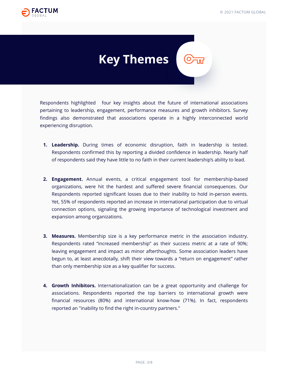<span id="page-3-0"></span>

# **Key Themes**

Respondents highlighted four key insights about the future of international associations pertaining to leadership, engagement, performance measures and growth inhibitors. Survey findings also demonstrated that associations operate in a highly interconnected world experiencing disruption.

- **Leadership.** During times of economic disruption, faith in leadership is tested. **1.** Respondents confirmed this by reporting a divided confidence in leadership. Nearly half of respondents said they have little to no faith in their current leadership's ability to lead.
- **Engagement.** Annual events, a critical engagement tool for membership-based **2.** organizations, were hit the hardest and suffered severe financial consequences. Our Respondents reported significant losses due to their inability to hold in-person events. Yet, 55% of respondents reported an increase in international participation due to virtual connection options, signaling the growing importance of technological investment and expansion among organizations.
- **Measures.** Membership size is a key performance metric in the association industry. **3.** Respondents rated "increased membership" as their success metric at a rate of 90%; leaving engagement and impact as minor afterthoughts. Some association leaders have begun to, at least anecdotally, shift their view towards a "return on engagement" rather than only membership size as a key qualifier for success.
- **Growth Inhibitors.** Internationalization can be a great opportunity and challenge for **4.** associations. Respondents reported the top barriers to international growth were financial resources (80%) and international know-how (71%). In fact, respondents reported an "inability to find the right in-country partners."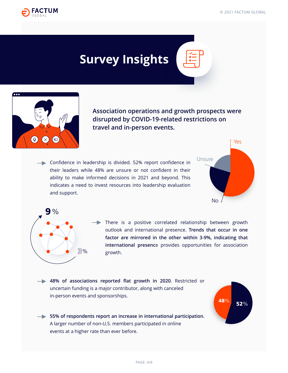<span id="page-4-0"></span>

## **Survey Insights**



**Association operations and growth prospects were disrupted by COVID-19-related restrictions on travel and in-person events.**

Confidence in leadership is divided. 52% report confidence in their leaders while 48% are unsure or not confident in their ability to make informed decisions in 2021 and beyond. This indicates a need to invest resources into leadership evaluation and support.



 $\begin{array}{|c|c|}\n \hline\n & \textbf{52}\% \\
\hline\n \end{array}$ 



There is a positive correlated relationship between growth outlook and international presence. **Trends that occur in one factor are mirrored in the other within 3-9%, indicating that international presenc**e provides opportunities for association growth.

**48% of associations reported flat growth in 2020**. Restricted or uncertain funding is a major contributor, along with canceled in-person events and sponsorships.

**55% of respondents report an increase in international participation**. A larger number of non-U.S. members participated in online events at a higher rate than ever before.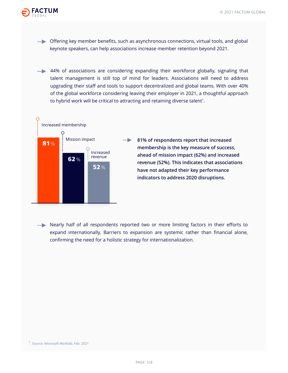

 $\rightarrow$  Offering key member benefits, such as asynchronous connections, virtual tools, and global keynote speakers, can help associations increase member retention beyond 2021.

**→ 44% of associations are considering expanding their workforce globally, signaling that** talent management is still top of mind for leaders. Associations will need to address upgrading their staff and tools to support decentralized and global teams. With over 40% of the global workforce considering leaving their employer in 2021, a thoughtful approach to hybrid work will be critical to attracting and retaining diverse talent $^{\rm 1}.$ 



Nearly half of all respondents reported two or more limiting factors in their efforts to expand internationally. Barriers to expansion are systemic rather than financial alone, confirming the need for a holistic strategy for internationalization.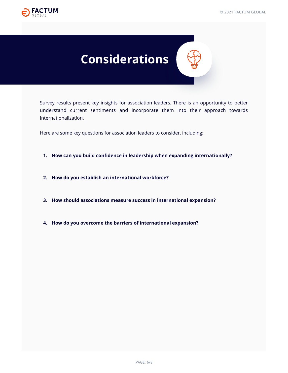<span id="page-6-0"></span>

### **Considerations**

Survey results present key insights for association leaders. There is an opportunity to better understand current sentiments and incorporate them into their approach towards internationalization.

Here are some key questions for association leaders to consider, including:

- **How can you build confidence in leadership when expanding internationally? 1.**
- **How do you establish an international workforce? 2.**
- **How should associations measure success in international expansion? 3.**
- **How do you overcome the barriers of international expansion? 4.**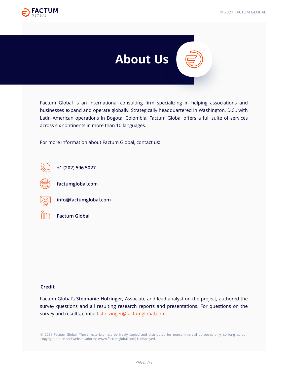<span id="page-7-0"></span>



Factum Global is an international consulting firm specializing in helping associations and businesses expand and operate globally. Strategically headquartered in Washington, D.C., with Latin American operations in Bogota, Colombia, Factum Global offers a full suite of services across six continents in more than 10 languages.

For more information about Factum Global, contact us:







**[factumglobal.com](https://factumglobal.com/)**



**info@factumglobal.com**



**[Factum Global](https://www.linkedin.com/company/factum-global/)**

#### **Credit**

Factum Global's **Stephanie Holzinger**, Associate and lead analyst on the project, authored the survey questions and all resulting research reports and presentations. For questions on the survey and results, contact sholzinger@factumglobal.com.

© 2021 Factum Global. These materials may be freely copied and distributed for noncommercial purposes only, so long as our copyright notice and website address (www.factumglobal.com) is displayed.